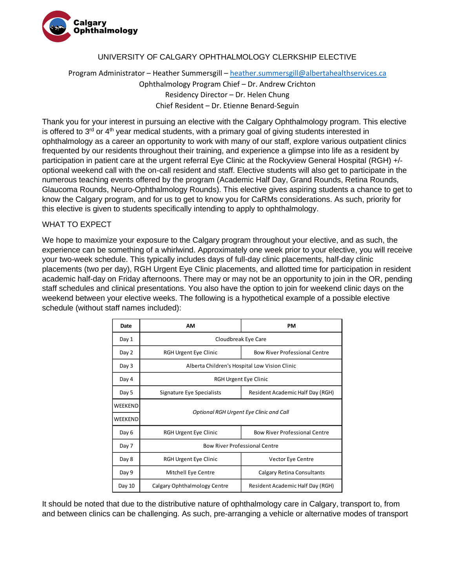

## UNIVERSITY OF CALGARY OPHTHALMOLOGY CLERKSHIP ELECTIVE

## Program Administrator – Heather Summersgill – [heather.summersgill@albertahealthservices.ca](mailto:heather.summersgill@albertahealthservices.ca) Ophthalmology Program Chief – Dr. Andrew Crichton Residency Director – Dr. Helen Chung Chief Resident – Dr. Etienne Benard-Seguin

Thank you for your interest in pursuing an elective with the Calgary Ophthalmology program. This elective is offered to  $3<sup>rd</sup>$  or  $4<sup>th</sup>$  year medical students, with a primary goal of giving students interested in ophthalmology as a career an opportunity to work with many of our staff, explore various outpatient clinics frequented by our residents throughout their training, and experience a glimpse into life as a resident by participation in patient care at the urgent referral Eye Clinic at the Rockyview General Hospital (RGH) +/optional weekend call with the on-call resident and staff. Elective students will also get to participate in the numerous teaching events offered by the program (Academic Half Day, Grand Rounds, Retina Rounds, Glaucoma Rounds, Neuro-Ophthalmology Rounds). This elective gives aspiring students a chance to get to know the Calgary program, and for us to get to know you for CaRMs considerations. As such, priority for this elective is given to students specifically intending to apply to ophthalmology.

## WHAT TO EXPECT

We hope to maximize your exposure to the Calgary program throughout your elective, and as such, the experience can be something of a whirlwind. Approximately one week prior to your elective, you will receive your two-week schedule. This typically includes days of full-day clinic placements, half-day clinic placements (two per day), RGH Urgent Eye Clinic placements, and allotted time for participation in resident academic half-day on Friday afternoons. There may or may not be an opportunity to join in the OR, pending staff schedules and clinical presentations. You also have the option to join for weekend clinic days on the weekend between your elective weeks. The following is a hypothetical example of a possible elective schedule (without staff names included):

| Date    | АM                                            | <b>PM</b>                            |
|---------|-----------------------------------------------|--------------------------------------|
| Day 1   | Cloudbreak Eye Care                           |                                      |
| Day 2   | RGH Urgent Eye Clinic                         | <b>Bow River Professional Centre</b> |
| Day 3   | Alberta Children's Hospital Low Vision Clinic |                                      |
| Day 4   | RGH Urgent Eye Clinic                         |                                      |
| Day 5   | Signature Eye Specialists                     | Resident Academic Half Day (RGH)     |
| WEEKEND | Optional RGH Urgent Eye Clinic and Call       |                                      |
| WEEKEND |                                               |                                      |
| Day 6   | RGH Urgent Eye Clinic                         | <b>Bow River Professional Centre</b> |
| Day 7   | <b>Bow River Professional Centre</b>          |                                      |
| Day 8   | RGH Urgent Eye Clinic                         | Vector Eye Centre                    |
| Day 9   | Mitchell Eye Centre                           | <b>Calgary Retina Consultants</b>    |
| Day 10  | Calgary Ophthalmology Centre                  | Resident Academic Half Day (RGH)     |

It should be noted that due to the distributive nature of ophthalmology care in Calgary, transport to, from and between clinics can be challenging. As such, pre-arranging a vehicle or alternative modes of transport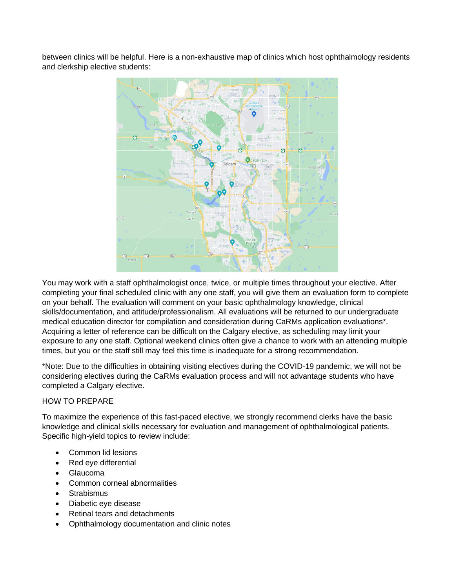between clinics will be helpful. Here is a non-exhaustive map of clinics which host ophthalmology residents and clerkship elective students:



You may work with a staff ophthalmologist once, twice, or multiple times throughout your elective. After completing your final scheduled clinic with any one staff, you will give them an evaluation form to complete on your behalf. The evaluation will comment on your basic ophthalmology knowledge, clinical skills/documentation, and attitude/professionalism. All evaluations will be returned to our undergraduate medical education director for compilation and consideration during CaRMs application evaluations\*. Acquiring a letter of reference can be difficult on the Calgary elective, as scheduling may limit your exposure to any one staff. Optional weekend clinics often give a chance to work with an attending multiple times, but you or the staff still may feel this time is inadequate for a strong recommendation.

\*Note: Due to the difficulties in obtaining visiting electives during the COVID-19 pandemic, we will not be considering electives during the CaRMs evaluation process and will not advantage students who have completed a Calgary elective.

## HOW TO PREPARE

To maximize the experience of this fast-paced elective, we strongly recommend clerks have the basic knowledge and clinical skills necessary for evaluation and management of ophthalmological patients. Specific high-yield topics to review include:

- Common lid lesions
- Red eye differential
- Glaucoma
- Common corneal abnormalities
- **Strabismus**
- Diabetic eye disease
- Retinal tears and detachments
- Ophthalmology documentation and clinic notes